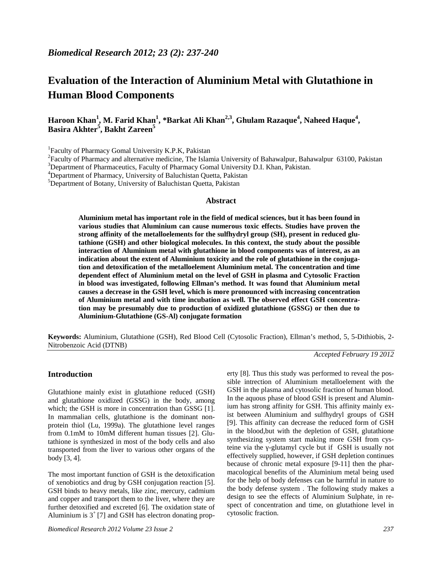# **Evaluation of the Interaction of Aluminium Metal with Glutathione in Human Blood Components**

**Haroon Khan<sup>1</sup> , M. Farid Khan<sup>1</sup> , \*Barkat Ali Khan2,3 , Ghulam Razaque<sup>4</sup> , Naheed Haque<sup>4</sup> , Basira Akhter<sup>5</sup> , Bakht Zareen<sup>5</sup>**

<sup>1</sup>Faculty of Pharmacy Gomal University K.P.K, Pakistan

 ${}^{2}$ Faculty of Pharmacy and alternative medicine, The Islamia University of Bahawalpur, Bahawalpur 63100, Pakistan

<sup>3</sup>Department of Pharmaceutics, Faculty of Pharmacy Gomal University D.I. Khan, Pakistan. <sup>4</sup>Department of Pharmacy, University of Baluchistan Quetta, Pakistan

<sup>5</sup>Department of Botany, University of Baluchistan Quetta, Pakistan

### **Abstract**

**Aluminium metal has important role in the field of medical sciences, but it has been found in various studies that Aluminium can cause numerous toxic effects. Studies have proven the strong affinity of the metalloelements for the sulfhydryl group (SH), present in reduced glutathione (GSH) and other biological molecules. In this context, the study about the possible interaction of Aluminium metal with glutathione in blood components was of interest, as an indication about the extent of Aluminium toxicity and the role of glutathione in the conjugation and detoxification of the metalloelement Aluminium metal. The concentration and time dependent effect of Aluminium metal on the level of GSH in plasma and Cytosolic Fraction in blood was investigated, following Ellman's method. It was found that Aluminium metal causes a decrease in the GSH level, which is more pronounced with increasing concentration of Aluminium metal and with time incubation as well. The observed effect GSH concentration may be presumably due to production of oxidized glutathione (GSSG) or then due to Aluminium-Glutathione (GS-Al) conjugate formation**

**Keywords:** Aluminium, Glutathione (GSH), Red Blood Cell (Cytosolic Fraction), Ellman's method, 5, 5-Dithiobis, 2- Nitrobenzoic Acid (DTNB)

*Accepted February 19 2012*

#### **Introduction**

Glutathione mainly exist in glutathione reduced (GSH) and glutathione oxidized (GSSG) in the body, among which; the GSH is more in concentration than GSSG [1]. In mammalian cells, glutathione is the dominant non protein thiol (Lu, 1999a). The glutathione level ranges from 0.1mM to 10mM different human tissues [2]. Glutathione is synthesized in most of the body cells and also transported from the liver to various other organs of the body [3, 4].

The most important function of GSH is the detoxification of xenobiotics and drug by GSH conjugation reaction [5]. GSH binds to heavy metals, like zinc, mercury, cadmium and copper and transport them to the liver, where they are further detoxified and excreted [6]. The oxidation state of Aluminium is  $3^{\dagger}$  [7] and GSH has electron donating prop-

*Biomedical Research 2012 Volume 23 Issue 2 237*

erty [8]. Thus this study was performed to reveal the possible intrection of Aluminium metalloelement with the GSH in the plasma and cytosolic fraction of human blood. In the aquous phase of blood GSH is present and Aluminium has strong affinity for GSH. This affinity mainly exist between Aluminium and sulfhydryl groups of GSH [9]. This affinity can decrease the reduced form of GSH in the blood,but with the depletion of GSH, glutathione synthesizing system start making more GSH from cysteine via the -glutamyl cycle but if GSH is usually not effectively supplied, however, if GSH depletion continues because of chronic metal exposure [9-11] then the pharmacological benefits of the Aluminium metal being used for the help of body defenses can be harmful in nature to the body defense system . The following study makes a design to see the effects of Aluminium Sulphate, in respect of concentration and time, on glutathione level in cytosolic fraction.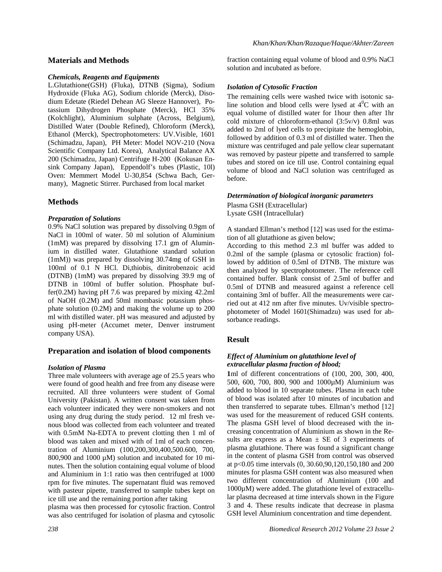## **Materials and Methods**

#### *Chemicals, Reagents and Equipments*

L.Glutathione(GSH) (Fluka), DTNB (Sigma), Sodium Hydroxide (Fluka AG), Sodium chloride (Merck), Disodium Edetate (Riedel Dehean AG Sleeze Hannover), Potassium Dihydrogen Phosphate (Merck), HCl 35% (Kolchlight), Aluminium sulphate (Across, Belgium), Distilled Water (Double Refined), Chloroform (Merck), Ethanol (Merck), Spectrophotometers: UV.Visible, 1601 (Schimadzu, Japan), PH Meter: Model NOV-210 (Nova Scientific Company Ltd. Korea), Analytical Balance AX 200 (Schimadzu, Japan) Centrifuge H-200 (Kokusan Ensink Company Japan), Eppendolf's tubes (Plastic, 10l) Oven: Memmert Model U-30,854 (Schwa Bach, Germany), Magnetic Stirrer. Purchased from local market

# **Methods**

### *Preparation of Solutions*

0.9% NaCl solution was prepared by dissolving 0.9gm of NaCl in 100ml of water. 50 ml solution of Aluminium (1mM) was prepared by dissolving 17.1 gm of Aluminium in distilled water. Glutathione standard solution (1mM)) was prepared by dissolving 30.74mg of GSH in 100ml of 0.1 N HCl. Di,thiobis, dinitrobenzoic acid (DTNB) (1mM) was prepared by dissolving 39.9 mg of DTNB in 100ml of buffer solution. Phosphate buffer(0.2M) having pH 7.6 was prepared by mixing 42.2ml of NaOH (0.2M) and 50ml mombasic potassium phosphate solution (0.2M) and making the volume up to 200 ml with distilled water. pH was measured and adjusted by using pH-meter (Accumet meter, Denver instrument company USA).

### **Preparation and isolation of blood components**

### *Isolation of Plasma*

Three male volunteers with average age of 25.5 years who were found of good health and free from any disease were recruited. All three volunteers were student of Gomal University (Pakistan). A written consent was taken from each volunteer indicated they were non-smokers and not using any drug during the study period. 12 ml fresh venous blood was collected from each volunteer and treated with 0.5mM Na-EDTA to prevent clotting then 1 ml of blood was taken and mixed with of 1ml of each concentration of Aluminium (100,200,300,400,500.600, 700, 800,900 and 1000  $\mu$ M) solution and incubated for 10 minutes. Then the solution containing equal volume of blood and Aluminium in 1:1 ratio was then centrifuged at 1000 rpm for five minutes. The supernatant fluid was removed with pasteur pipette, transferred to sample tubes kept on ice till use and the remaining portion after taking

plasma was then processed for cytosolic fraction. Control was also centrifuged for isolation of plasma and cytosolic fraction containing equal volume of blood and 0.9% NaCl solution and incubated as before.

### *Isolation of Cytosolic Fraction*

The remaining cells were washed twice with isotonic saline solution and blood cells were lysed at  $4^{\circ}$ C with an equal volume of distilled water for 1hour then after 1hr cold mixture of chloroform-ethanol (3:5v/v) 0.8ml was added to 2ml of lyed cells to precipitate the hemoglobin, followed by addition of 0.3 ml of distilled water. Then the mixture was centrifuged and pale yellow clear supernatant was removed by pasteur pipette and transferred to sample tubes and stored on ice till use. Control containing equal volume of blood and NaCl solution was centrifuged as before.

#### *Determination of biological inorganic parameters*

Plasma GSH (Extracellular) Lysate GSH (Intracellular)

A standard Ellman's method [12] was used for the estimation of all glutathione as given below;

According to this method 2.3 ml buffer was added to 0.2ml of the sample (plasma or cytosolic fraction) followed by addition of 0.5ml of DTNB. The mixture was then analyzed by spectrophotometer. The reference cell contained buffer. Blank consist of 2.5ml of buffer and 0.5ml of DTNB and measured against a reference cell containing 3ml of buffer. All the measurements were carried out at 412 nm after five minutes. Uv/visible spectrophotometer of Model 1601(Shimadzu) was used for absorbance readings.

# **Result**

### *Effect of Aluminium on glutathione level of extracellular plasma fraction of blood;*

**1**ml of different concentrations of (100, 200, 300, 400, 500, 600, 700, 800, 900 and 1000µM) Aluminium was added to blood in 10 separate tubes. Plasma in each tube of blood was isolated after 10 minutes of incubation and then transferred to separate tubes. Ellman's method [12] was used for the measurement of reduced GSH contents. The plasma GSH level of blood decreased with the increasing concentration of Aluminium as shown in the Results are express as a Mean  $\pm$  SE of 3 experiments of plasma glutathione. There was found a significant change in the content of plasma GSH from control was observed at p<0.05 time intervals (0, 30.60,90,120,150,180 and 200 minutes for plasma GSH content was also measured when two different concentration of Aluminium (100 and 1000µM) were added. The glutathione level of extracellular plasma decreased at time intervals shown in the Figure 3 and 4. These results indicate that decrease in plasma GSH level Aluminium concentration and time dependent.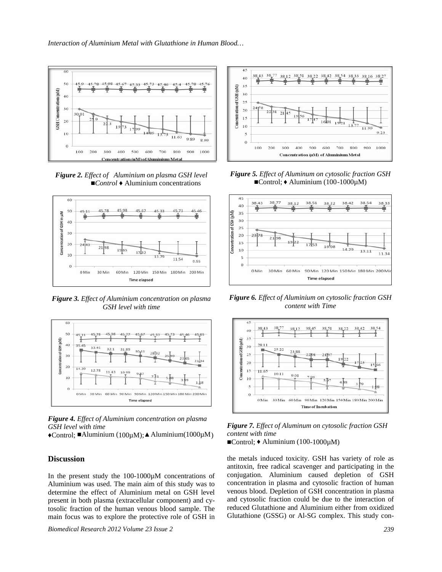*Interaction of Aluminium Metal with Glutathione in Human Blood…*



*Figure 2. Effect of Aluminium on plasma GSH level Control* Aluminium concentrations



*Figure 3. Effect of Aluminium concentration on plasma GSH level with time*



*Figure 4. Effect of Aluminium concentration on plasma GSH level with time*

Control; Aluminium (100 $\mu$ M); Aluminium(1000 $\mu$ M)

## **Discussion**

In the present study the 100-1000µM concentrations of Aluminium was used. The main aim of this study was to determine the effect of Aluminium metal on GSH level present in both plasma (extracellular component) and cytosolic fraction of the human venous blood sample. The main focus was to explore the protective role of GSH in

*Biomedical Research 2012 Volume 23 Issue 2 239*



*Figure 5. Effect of Aluminum on cytosolic fraction GSH* Control; Aluminium  $(100-1000\mu M)$ 



*Figure 6. Effect of Aluminium on cytosolic fraction GSH content with Time*



*Figure 7. Effect of Aluminum on cytosolic fraction GSH content with time*

Control; Aluminium (100-1000 $\mu$ M)

the metals induced toxicity. GSH has variety of role as antitoxin, free radical scavenger and participating in the conjugation. Aluminium caused depletion of GSH concentration in plasma and cytosolic fraction of human venous blood. Depletion of GSH concentration in plasma and cytosolic fraction could be due to the interaction of reduced Glutathione and Aluminium either from oxidized Glutathione (GSSG) or Al-SG complex. This study con